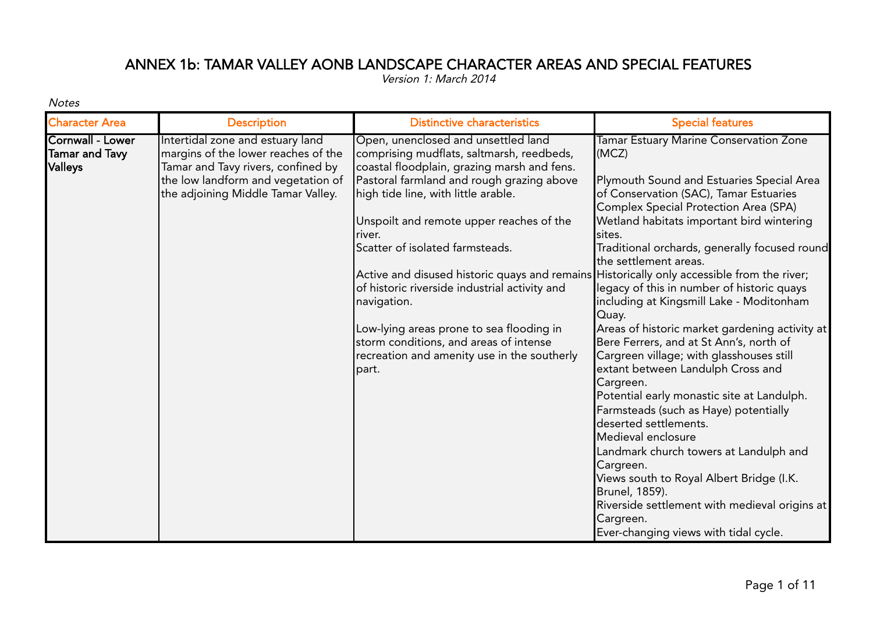## ANNEX 1b: TAMAR VALLEY AONB LANDSCAPE CHARACTER AREAS AND SPECIAL FEATURES

Version 1: March 2014

Notes

|                                                                               | <b>Description</b>                                                                                                                                                                        | <b>Distinctive characteristics</b>                                                                                                                                                                                                                                                                                                                                                                                                                                                                                                                                                                                       | <b>Special features</b>                                                                                                                                                                                                                                                                                                                                                                                                                                                                                                                                                                           |
|-------------------------------------------------------------------------------|-------------------------------------------------------------------------------------------------------------------------------------------------------------------------------------------|--------------------------------------------------------------------------------------------------------------------------------------------------------------------------------------------------------------------------------------------------------------------------------------------------------------------------------------------------------------------------------------------------------------------------------------------------------------------------------------------------------------------------------------------------------------------------------------------------------------------------|---------------------------------------------------------------------------------------------------------------------------------------------------------------------------------------------------------------------------------------------------------------------------------------------------------------------------------------------------------------------------------------------------------------------------------------------------------------------------------------------------------------------------------------------------------------------------------------------------|
| <b>Character Area</b><br>Cornwall - Lower<br><b>Tamar and Tavy</b><br>Valleys | Intertidal zone and estuary land<br>margins of the lower reaches of the<br>Tamar and Tavy rivers, confined by<br>the low landform and vegetation of<br>the adjoining Middle Tamar Valley. | Open, unenclosed and unsettled land<br>comprising mudflats, saltmarsh, reedbeds,<br>coastal floodplain, grazing marsh and fens.<br>Pastoral farmland and rough grazing above<br>high tide line, with little arable.<br>Unspoilt and remote upper reaches of the<br>river.<br>Scatter of isolated farmsteads.<br>Active and disused historic quays and remains Historically only accessible from the river;<br>of historic riverside industrial activity and<br>navigation.<br>Low-lying areas prone to sea flooding in<br>storm conditions, and areas of intense<br>recreation and amenity use in the southerly<br>part. | Tamar Estuary Marine Conservation Zone<br>(MCZ)<br>Plymouth Sound and Estuaries Special Area<br>of Conservation (SAC), Tamar Estuaries<br>Complex Special Protection Area (SPA)<br>Wetland habitats important bird wintering<br>sites.<br>Traditional orchards, generally focused round<br>the settlement areas.<br>legacy of this in number of historic quays<br>including at Kingsmill Lake - Moditonham<br>Quay.<br>Areas of historic market gardening activity at<br>Bere Ferrers, and at St Ann's, north of<br>Cargreen village; with glasshouses still<br>extant between Landulph Cross and |
|                                                                               |                                                                                                                                                                                           |                                                                                                                                                                                                                                                                                                                                                                                                                                                                                                                                                                                                                          | Cargreen.<br>Potential early monastic site at Landulph.<br>Farmsteads (such as Haye) potentially<br>deserted settlements.<br>Medieval enclosure<br>Landmark church towers at Landulph and<br>Cargreen.<br>Views south to Royal Albert Bridge (I.K.<br>Brunel, 1859).<br>Riverside settlement with medieval origins at<br>Cargreen.<br>Ever-changing views with tidal cycle.                                                                                                                                                                                                                       |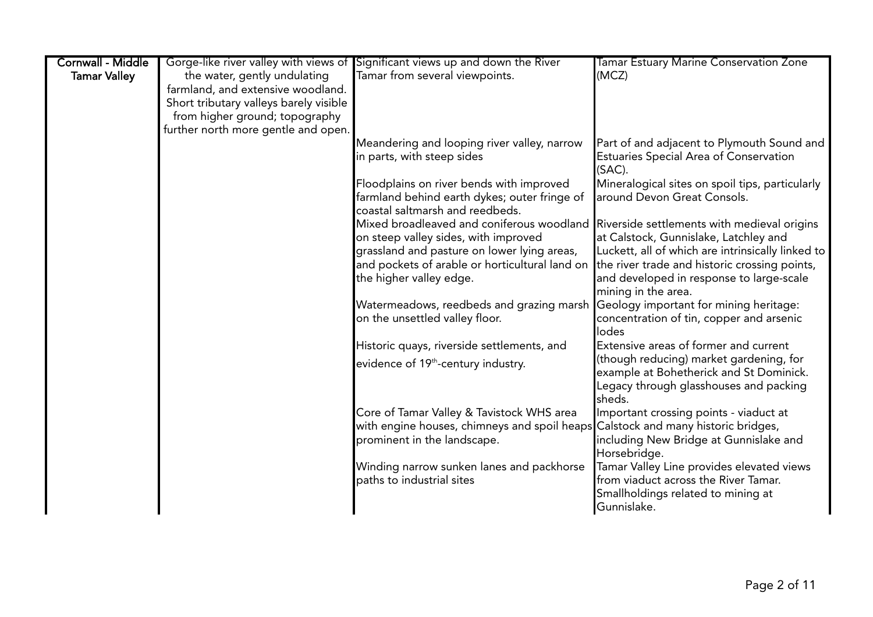| <b>Cornwall - Middle</b> |                                        | Gorge-like river valley with views of Significant views up and down the River         | Tamar Estuary Marine Conservation Zone            |
|--------------------------|----------------------------------------|---------------------------------------------------------------------------------------|---------------------------------------------------|
| <b>Tamar Valley</b>      | the water, gently undulating           | Tamar from several viewpoints.                                                        | (MCZ)                                             |
|                          | farmland, and extensive woodland.      |                                                                                       |                                                   |
|                          | Short tributary valleys barely visible |                                                                                       |                                                   |
|                          | from higher ground; topography         |                                                                                       |                                                   |
|                          | further north more gentle and open.    |                                                                                       |                                                   |
|                          |                                        | Meandering and looping river valley, narrow                                           | Part of and adjacent to Plymouth Sound and        |
|                          |                                        | in parts, with steep sides                                                            | Estuaries Special Area of Conservation<br>(SAC).  |
|                          |                                        | Floodplains on river bends with improved                                              | Mineralogical sites on spoil tips, particularly   |
|                          |                                        | farmland behind earth dykes; outer fringe of                                          | around Devon Great Consols.                       |
|                          |                                        | coastal saltmarsh and reedbeds.                                                       |                                                   |
|                          |                                        | Mixed broadleaved and coniferous woodland Riverside settlements with medieval origins |                                                   |
|                          |                                        | on steep valley sides, with improved                                                  | at Calstock, Gunnislake, Latchley and             |
|                          |                                        | grassland and pasture on lower lying areas,                                           | Luckett, all of which are intrinsically linked to |
|                          |                                        | and pockets of arable or horticultural land on                                        | the river trade and historic crossing points,     |
|                          |                                        | the higher valley edge.                                                               | and developed in response to large-scale          |
|                          |                                        |                                                                                       | mining in the area.                               |
|                          |                                        | Watermeadows, reedbeds and grazing marsh Geology important for mining heritage:       |                                                   |
|                          |                                        | on the unsettled valley floor.                                                        | concentration of tin, copper and arsenic          |
|                          |                                        |                                                                                       | lodes                                             |
|                          |                                        | Historic quays, riverside settlements, and                                            | Extensive areas of former and current             |
|                          |                                        | evidence of 19 <sup>th</sup> -century industry.                                       | (though reducing) market gardening, for           |
|                          |                                        |                                                                                       | example at Bohetherick and St Dominick.           |
|                          |                                        |                                                                                       | Legacy through glasshouses and packing<br>sheds.  |
|                          |                                        | Core of Tamar Valley & Tavistock WHS area                                             | Important crossing points - viaduct at            |
|                          |                                        | with engine houses, chimneys and spoil heaps Calstock and many historic bridges,      |                                                   |
|                          |                                        | prominent in the landscape.                                                           | including New Bridge at Gunnislake and            |
|                          |                                        |                                                                                       | Horsebridge.                                      |
|                          |                                        | Winding narrow sunken lanes and packhorse                                             | Tamar Valley Line provides elevated views         |
|                          |                                        | paths to industrial sites                                                             | from viaduct across the River Tamar.              |
|                          |                                        |                                                                                       | Smallholdings related to mining at                |
|                          |                                        |                                                                                       | Gunnislake.                                       |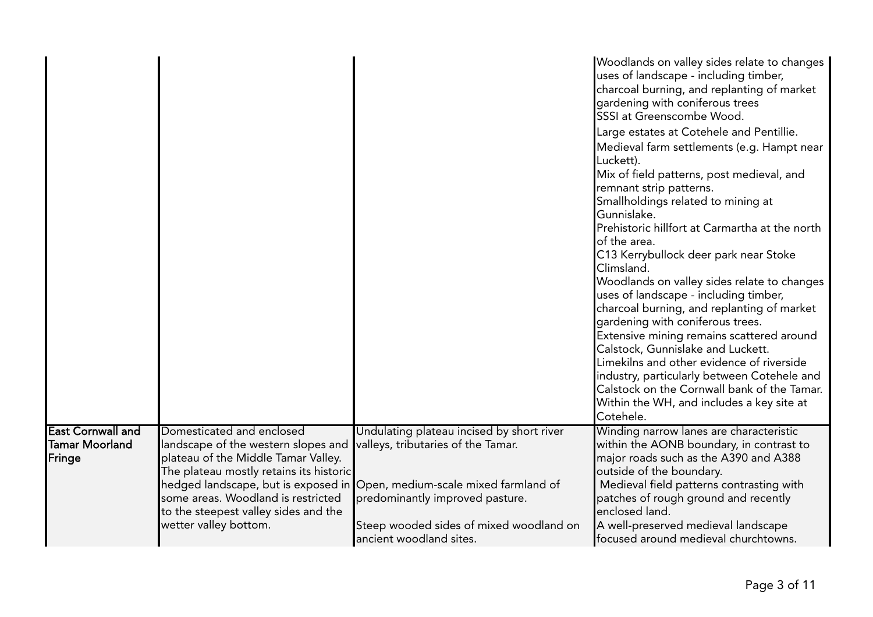|                                                      |                                                                                                                                                                                                                                                           |                                                                                                                                                                                                                                                                      | Woodlands on valley sides relate to changes<br>uses of landscape - including timber,<br>charcoal burning, and replanting of market<br>gardening with coniferous trees<br>SSSI at Greenscombe Wood.<br>Large estates at Cotehele and Pentillie.<br>Medieval farm settlements (e.g. Hampt near<br>Luckett).<br>Mix of field patterns, post medieval, and<br>remnant strip patterns.<br>Smallholdings related to mining at<br>Gunnislake.<br>Prehistoric hillfort at Carmartha at the north<br>of the area.<br>C13 Kerrybullock deer park near Stoke<br>Climsland.<br>Woodlands on valley sides relate to changes<br>uses of landscape - including timber,<br>charcoal burning, and replanting of market<br>gardening with coniferous trees.<br>Extensive mining remains scattered around<br>Calstock, Gunnislake and Luckett.<br>Limekilns and other evidence of riverside<br>industry, particularly between Cotehele and<br>Calstock on the Cornwall bank of the Tamar.<br>Within the WH, and includes a key site at<br>Cotehele. |
|------------------------------------------------------|-----------------------------------------------------------------------------------------------------------------------------------------------------------------------------------------------------------------------------------------------------------|----------------------------------------------------------------------------------------------------------------------------------------------------------------------------------------------------------------------------------------------------------------------|----------------------------------------------------------------------------------------------------------------------------------------------------------------------------------------------------------------------------------------------------------------------------------------------------------------------------------------------------------------------------------------------------------------------------------------------------------------------------------------------------------------------------------------------------------------------------------------------------------------------------------------------------------------------------------------------------------------------------------------------------------------------------------------------------------------------------------------------------------------------------------------------------------------------------------------------------------------------------------------------------------------------------------|
| <b>East Cornwall and</b><br>Tamar Moorland<br>Fringe | Domesticated and enclosed<br>landscape of the western slopes and<br>plateau of the Middle Tamar Valley.<br>The plateau mostly retains its historic<br>some areas. Woodland is restricted<br>to the steepest valley sides and the<br>wetter valley bottom. | Undulating plateau incised by short river<br>valleys, tributaries of the Tamar.<br>hedged landscape, but is exposed in Open, medium-scale mixed farmland of<br>predominantly improved pasture.<br>Steep wooded sides of mixed woodland on<br>ancient woodland sites. | Winding narrow lanes are characteristic<br>within the AONB boundary, in contrast to<br>major roads such as the A390 and A388<br>outside of the boundary.<br>Medieval field patterns contrasting with<br>patches of rough ground and recently<br>enclosed land.<br>A well-preserved medieval landscape<br>focused around medieval churchtowns.                                                                                                                                                                                                                                                                                                                                                                                                                                                                                                                                                                                                                                                                                    |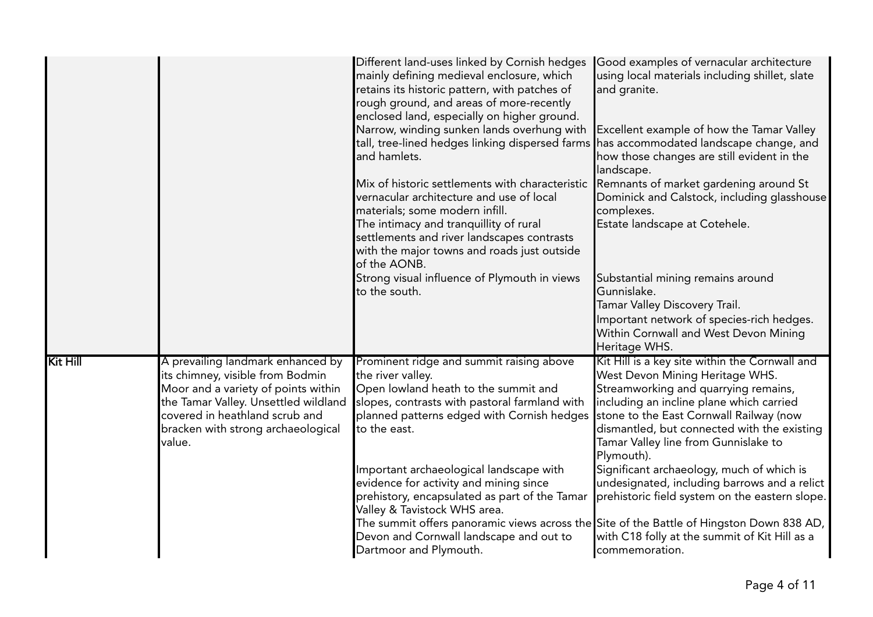|                 |                                                                                                                                                                                                                                        | Different land-uses linked by Cornish hedges<br>mainly defining medieval enclosure, which<br>retains its historic pattern, with patches of<br>rough ground, and areas of more-recently<br>enclosed land, especially on higher ground.<br>Narrow, winding sunken lands overhung with<br>tall, tree-lined hedges linking dispersed farms<br>and hamlets.<br>Mix of historic settlements with characteristic<br>vernacular architecture and use of local<br>materials; some modern infill.<br>The intimacy and tranquillity of rural<br>settlements and river landscapes contrasts<br>with the major towns and roads just outside<br>of the AONB.<br>Strong visual influence of Plymouth in views<br>to the south. | Good examples of vernacular architecture<br>using local materials including shillet, slate<br>and granite.<br>Excellent example of how the Tamar Valley<br>has accommodated landscape change, and<br>how those changes are still evident in the<br>landscape.<br>Remnants of market gardening around St<br>Dominick and Calstock, including glasshouse<br>complexes.<br>Estate landscape at Cotehele.<br>Substantial mining remains around<br>Gunnislake.<br>Tamar Valley Discovery Trail.<br>Important network of species-rich hedges.<br>Within Cornwall and West Devon Mining<br>Heritage WHS. |
|-----------------|----------------------------------------------------------------------------------------------------------------------------------------------------------------------------------------------------------------------------------------|-----------------------------------------------------------------------------------------------------------------------------------------------------------------------------------------------------------------------------------------------------------------------------------------------------------------------------------------------------------------------------------------------------------------------------------------------------------------------------------------------------------------------------------------------------------------------------------------------------------------------------------------------------------------------------------------------------------------|---------------------------------------------------------------------------------------------------------------------------------------------------------------------------------------------------------------------------------------------------------------------------------------------------------------------------------------------------------------------------------------------------------------------------------------------------------------------------------------------------------------------------------------------------------------------------------------------------|
| <b>Kit Hill</b> | A prevailing landmark enhanced by<br>its chimney, visible from Bodmin<br>Moor and a variety of points within<br>the Tamar Valley. Unsettled wildland<br>covered in heathland scrub and<br>bracken with strong archaeological<br>value. | Prominent ridge and summit raising above<br>the river valley.<br>Open lowland heath to the summit and<br>slopes, contrasts with pastoral farmland with<br>planned patterns edged with Cornish hedges<br>to the east.<br>Important archaeological landscape with<br>evidence for activity and mining since<br>prehistory, encapsulated as part of the Tamar<br>Valley & Tavistock WHS area.<br>The summit offers panoramic views across the Site of the Battle of Hingston Down 838 AD,<br>Devon and Cornwall landscape and out to<br>Dartmoor and Plymouth.                                                                                                                                                     | Kit Hill is a key site within the Cornwall and<br>West Devon Mining Heritage WHS.<br>Streamworking and quarrying remains,<br>including an incline plane which carried<br>stone to the East Cornwall Railway (now<br>dismantled, but connected with the existing<br>Tamar Valley line from Gunnislake to<br>Plymouth).<br>Significant archaeology, much of which is<br>undesignated, including barrows and a relict<br>prehistoric field system on the eastern slope.<br>with C18 folly at the summit of Kit Hill as a<br>commemoration.                                                           |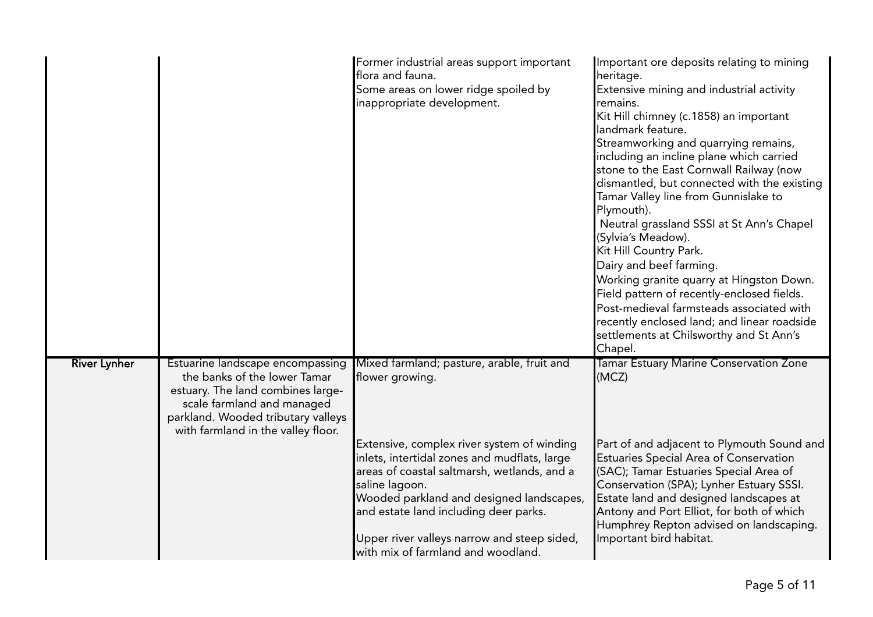|                     |                                                                                                                                                                                                                 | Former industrial areas support important<br>flora and fauna.<br>Some areas on lower ridge spoiled by<br>inappropriate development.                                                                                                                                                                                                                                                                    | Important ore deposits relating to mining<br>heritage.<br>Extensive mining and industrial activity<br>remains.<br>Kit Hill chimney (c.1858) an important<br>landmark feature.<br>Streamworking and quarrying remains,<br>including an incline plane which carried<br>stone to the East Cornwall Railway (now<br>dismantled, but connected with the existing<br>Tamar Valley line from Gunnislake to<br>Plymouth).<br>Neutral grassland SSSI at St Ann's Chapel<br>(Sylvia's Meadow).<br>Kit Hill Country Park.<br>Dairy and beef farming.<br>Working granite quarry at Hingston Down.<br>Field pattern of recently-enclosed fields.<br>Post-medieval farmsteads associated with<br>recently enclosed land; and linear roadside<br>settlements at Chilsworthy and St Ann's<br>Chapel. |
|---------------------|-----------------------------------------------------------------------------------------------------------------------------------------------------------------------------------------------------------------|--------------------------------------------------------------------------------------------------------------------------------------------------------------------------------------------------------------------------------------------------------------------------------------------------------------------------------------------------------------------------------------------------------|--------------------------------------------------------------------------------------------------------------------------------------------------------------------------------------------------------------------------------------------------------------------------------------------------------------------------------------------------------------------------------------------------------------------------------------------------------------------------------------------------------------------------------------------------------------------------------------------------------------------------------------------------------------------------------------------------------------------------------------------------------------------------------------|
| <b>River Lynher</b> | Estuarine landscape encompassing<br>the banks of the lower Tamar<br>estuary. The land combines large-<br>scale farmland and managed<br>parkland. Wooded tributary valleys<br>with farmland in the valley floor. | Mixed farmland; pasture, arable, fruit and<br>flower growing.<br>Extensive, complex river system of winding<br>inlets, intertidal zones and mudflats, large<br>areas of coastal saltmarsh, wetlands, and a<br>saline lagoon.<br>Wooded parkland and designed landscapes,<br>and estate land including deer parks.<br>Upper river valleys narrow and steep sided,<br>with mix of farmland and woodland. | Tamar Estuary Marine Conservation Zone<br>(MCZ)<br>Part of and adjacent to Plymouth Sound and<br>Estuaries Special Area of Conservation<br>(SAC); Tamar Estuaries Special Area of<br>Conservation (SPA); Lynher Estuary SSSI.<br>Estate land and designed landscapes at<br>Antony and Port Elliot, for both of which<br>Humphrey Repton advised on landscaping.<br>Important bird habitat.                                                                                                                                                                                                                                                                                                                                                                                           |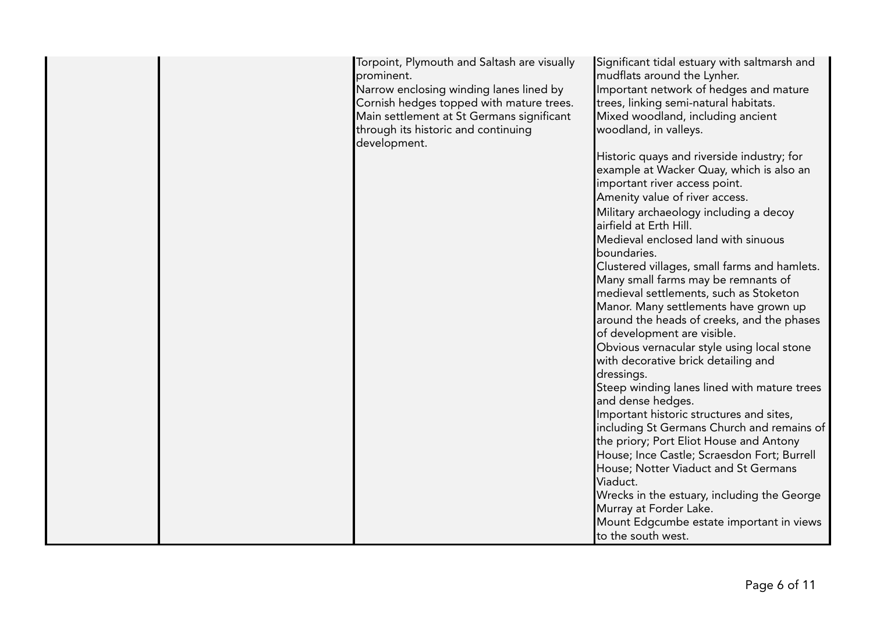|  | Torpoint, Plymouth and Saltash are visually<br>prominent.<br>Narrow enclosing winding lanes lined by<br>Cornish hedges topped with mature trees.<br>Main settlement at St Germans significant<br>through its historic and continuing<br>development. | Significant tidal estuary with saltmarsh and<br>mudflats around the Lynher.<br>Important network of hedges and mature<br>trees, linking semi-natural habitats.<br>Mixed woodland, including ancient<br>woodland, in valleys. |
|--|------------------------------------------------------------------------------------------------------------------------------------------------------------------------------------------------------------------------------------------------------|------------------------------------------------------------------------------------------------------------------------------------------------------------------------------------------------------------------------------|
|  |                                                                                                                                                                                                                                                      | Historic quays and riverside industry; for<br>example at Wacker Quay, which is also an<br>important river access point.                                                                                                      |
|  |                                                                                                                                                                                                                                                      | Amenity value of river access.                                                                                                                                                                                               |
|  |                                                                                                                                                                                                                                                      | Military archaeology including a decoy<br>airfield at Erth Hill.                                                                                                                                                             |
|  |                                                                                                                                                                                                                                                      | Medieval enclosed land with sinuous<br>boundaries.                                                                                                                                                                           |
|  |                                                                                                                                                                                                                                                      | Clustered villages, small farms and hamlets.                                                                                                                                                                                 |
|  |                                                                                                                                                                                                                                                      | Many small farms may be remnants of                                                                                                                                                                                          |
|  |                                                                                                                                                                                                                                                      | medieval settlements, such as Stoketon                                                                                                                                                                                       |
|  |                                                                                                                                                                                                                                                      | Manor. Many settlements have grown up                                                                                                                                                                                        |
|  |                                                                                                                                                                                                                                                      | around the heads of creeks, and the phases                                                                                                                                                                                   |
|  |                                                                                                                                                                                                                                                      | of development are visible.                                                                                                                                                                                                  |
|  |                                                                                                                                                                                                                                                      | Obvious vernacular style using local stone                                                                                                                                                                                   |
|  |                                                                                                                                                                                                                                                      | with decorative brick detailing and                                                                                                                                                                                          |
|  |                                                                                                                                                                                                                                                      | dressings.<br>Steep winding lanes lined with mature trees                                                                                                                                                                    |
|  |                                                                                                                                                                                                                                                      | and dense hedges.                                                                                                                                                                                                            |
|  |                                                                                                                                                                                                                                                      | Important historic structures and sites,                                                                                                                                                                                     |
|  |                                                                                                                                                                                                                                                      | including St Germans Church and remains of                                                                                                                                                                                   |
|  |                                                                                                                                                                                                                                                      | the priory; Port Eliot House and Antony                                                                                                                                                                                      |
|  |                                                                                                                                                                                                                                                      | House; Ince Castle; Scraesdon Fort; Burrell<br>House; Notter Viaduct and St Germans                                                                                                                                          |
|  |                                                                                                                                                                                                                                                      | Viaduct.                                                                                                                                                                                                                     |
|  |                                                                                                                                                                                                                                                      | Wrecks in the estuary, including the George                                                                                                                                                                                  |
|  |                                                                                                                                                                                                                                                      | Murray at Forder Lake.                                                                                                                                                                                                       |
|  |                                                                                                                                                                                                                                                      | Mount Edgcumbe estate important in views                                                                                                                                                                                     |
|  |                                                                                                                                                                                                                                                      | to the south west.                                                                                                                                                                                                           |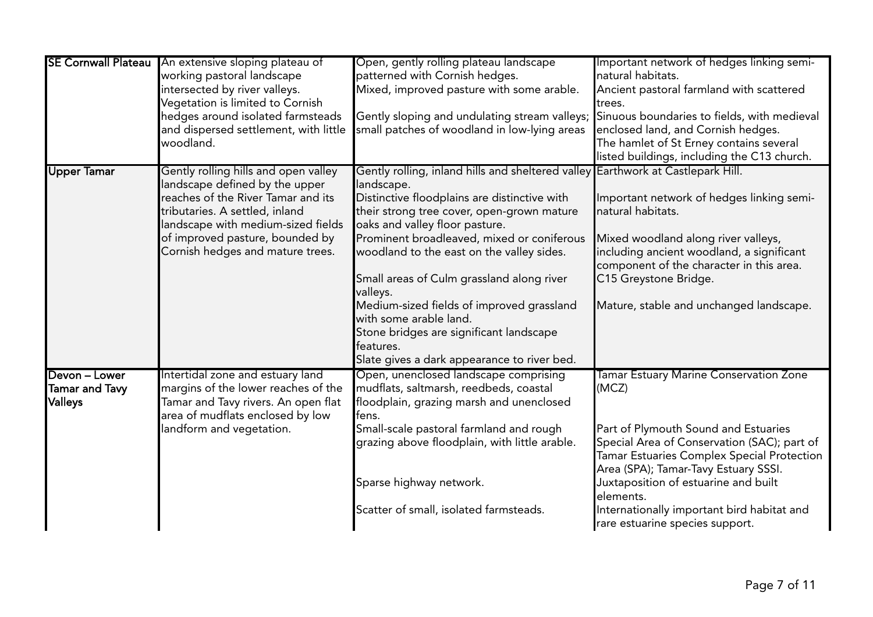| <b>SE Cornwall Plateau</b> | An extensive sloping plateau of       | Open, gently rolling plateau landscape                                                    | Important network of hedges linking semi-   |
|----------------------------|---------------------------------------|-------------------------------------------------------------------------------------------|---------------------------------------------|
|                            | working pastoral landscape            | patterned with Cornish hedges.                                                            | natural habitats.                           |
|                            | intersected by river valleys.         | Mixed, improved pasture with some arable.                                                 | Ancient pastoral farmland with scattered    |
|                            | Vegetation is limited to Cornish      |                                                                                           | trees.                                      |
|                            | hedges around isolated farmsteads     | Gently sloping and undulating stream valleys; Sinuous boundaries to fields, with medieval |                                             |
|                            | and dispersed settlement, with little | small patches of woodland in low-lying areas                                              | enclosed land, and Cornish hedges.          |
|                            | woodland.                             |                                                                                           | The hamlet of St Erney contains several     |
|                            |                                       |                                                                                           | listed buildings, including the C13 church. |
| <b>Upper Tamar</b>         | Gently rolling hills and open valley  | Gently rolling, inland hills and sheltered valley Earthwork at Castlepark Hill.           |                                             |
|                            | landscape defined by the upper        | landscape.                                                                                |                                             |
|                            | reaches of the River Tamar and its    | Distinctive floodplains are distinctive with                                              | Important network of hedges linking semi-   |
|                            | tributaries. A settled, inland        | their strong tree cover, open-grown mature                                                | natural habitats.                           |
|                            | landscape with medium-sized fields    | oaks and valley floor pasture.                                                            |                                             |
|                            | of improved pasture, bounded by       | Prominent broadleaved, mixed or coniferous                                                | Mixed woodland along river valleys,         |
|                            | Cornish hedges and mature trees.      | woodland to the east on the valley sides.                                                 | including ancient woodland, a significant   |
|                            |                                       |                                                                                           | component of the character in this area.    |
|                            |                                       | Small areas of Culm grassland along river                                                 | C15 Greystone Bridge.                       |
|                            |                                       | valleys.                                                                                  |                                             |
|                            |                                       | Medium-sized fields of improved grassland                                                 | Mature, stable and unchanged landscape.     |
|                            |                                       | with some arable land.                                                                    |                                             |
|                            |                                       | Stone bridges are significant landscape                                                   |                                             |
|                            |                                       | features.                                                                                 |                                             |
|                            |                                       | Slate gives a dark appearance to river bed.                                               |                                             |
| Devon - Lower              | Intertidal zone and estuary land      | Open, unenclosed landscape comprising                                                     | Tamar Estuary Marine Conservation Zone      |
| Tamar and Tavy             | margins of the lower reaches of the   | mudflats, saltmarsh, reedbeds, coastal                                                    | (MCZ)                                       |
| Valleys                    | Tamar and Tavy rivers. An open flat   | floodplain, grazing marsh and unenclosed                                                  |                                             |
|                            | area of mudflats enclosed by low      | fens.                                                                                     |                                             |
|                            | landform and vegetation.              | Small-scale pastoral farmland and rough                                                   | Part of Plymouth Sound and Estuaries        |
|                            |                                       | grazing above floodplain, with little arable.                                             | Special Area of Conservation (SAC); part of |
|                            |                                       |                                                                                           | Tamar Estuaries Complex Special Protection  |
|                            |                                       |                                                                                           | Area (SPA); Tamar-Tavy Estuary SSSI.        |
|                            |                                       | Sparse highway network.                                                                   | Juxtaposition of estuarine and built        |
|                            |                                       |                                                                                           | elements.                                   |
|                            |                                       | Scatter of small, isolated farmsteads.                                                    | Internationally important bird habitat and  |
|                            |                                       |                                                                                           | rare estuarine species support.             |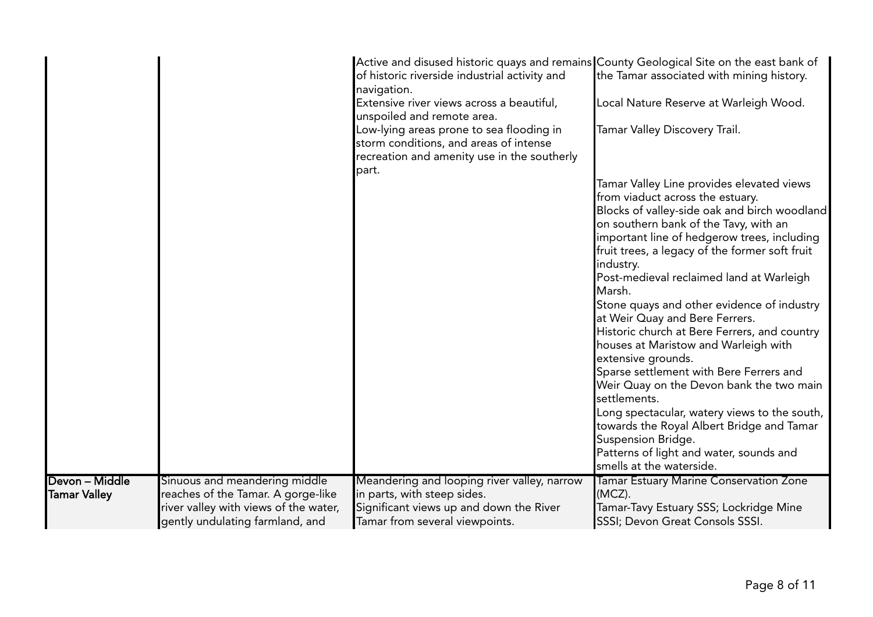|                                       |                                                                                                                                                 | Active and disused historic quays and remains County Geological Site on the east bank of<br>of historic riverside industrial activity and<br>navigation.<br>Extensive river views across a beautiful,<br>unspoiled and remote area.<br>Low-lying areas prone to sea flooding in<br>storm conditions, and areas of intense<br>recreation and amenity use in the southerly<br>part. | the Tamar associated with mining history.<br>Local Nature Reserve at Warleigh Wood.<br>Tamar Valley Discovery Trail.<br>Tamar Valley Line provides elevated views<br>from viaduct across the estuary.<br>Blocks of valley-side oak and birch woodland<br>on southern bank of the Tavy, with an<br>important line of hedgerow trees, including<br>fruit trees, a legacy of the former soft fruit<br>industry.<br>Post-medieval reclaimed land at Warleigh<br>Marsh.<br>Stone quays and other evidence of industry<br>at Weir Quay and Bere Ferrers. |
|---------------------------------------|-------------------------------------------------------------------------------------------------------------------------------------------------|-----------------------------------------------------------------------------------------------------------------------------------------------------------------------------------------------------------------------------------------------------------------------------------------------------------------------------------------------------------------------------------|----------------------------------------------------------------------------------------------------------------------------------------------------------------------------------------------------------------------------------------------------------------------------------------------------------------------------------------------------------------------------------------------------------------------------------------------------------------------------------------------------------------------------------------------------|
|                                       |                                                                                                                                                 |                                                                                                                                                                                                                                                                                                                                                                                   | Historic church at Bere Ferrers, and country<br>houses at Maristow and Warleigh with<br>extensive grounds.<br>Sparse settlement with Bere Ferrers and<br>Weir Quay on the Devon bank the two main<br>settlements.<br>Long spectacular, watery views to the south,<br>towards the Royal Albert Bridge and Tamar<br>Suspension Bridge.<br>Patterns of light and water, sounds and<br>smells at the waterside.                                                                                                                                        |
| Devon - Middle<br><b>Tamar Valley</b> | Sinuous and meandering middle<br>reaches of the Tamar. A gorge-like<br>river valley with views of the water,<br>gently undulating farmland, and | Meandering and looping river valley, narrow<br>in parts, with steep sides.<br>Significant views up and down the River<br>Tamar from several viewpoints.                                                                                                                                                                                                                           | Tamar Estuary Marine Conservation Zone<br>(MCZ).<br>Tamar-Tavy Estuary SSS; Lockridge Mine<br>SSSI; Devon Great Consols SSSI.                                                                                                                                                                                                                                                                                                                                                                                                                      |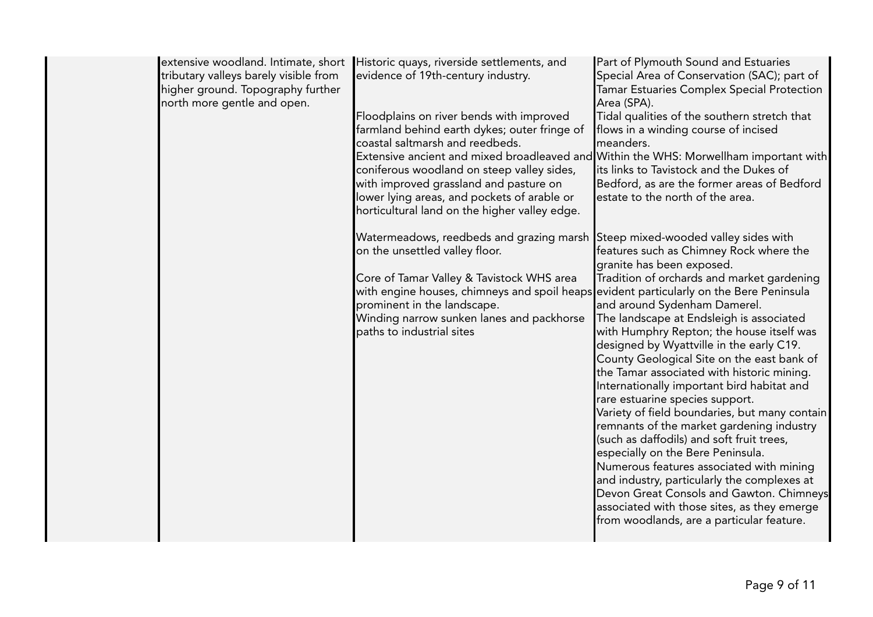| tributary valleys barely visible from<br>higher ground. Topography further<br>north more gentle and open. | extensive woodland. Intimate, short Historic quays, riverside settlements, and<br>evidence of 19th-century industry.<br>Floodplains on river bends with improved<br>farmland behind earth dykes; outer fringe of<br>coastal saltmarsh and reedbeds.<br>Extensive ancient and mixed broadleaved and Within the WHS: Morwellham important with<br>coniferous woodland on steep valley sides,<br>with improved grassland and pasture on<br>lower lying areas, and pockets of arable or<br>horticultural land on the higher valley edge. | Part of Plymouth Sound and Estuaries<br>Special Area of Conservation (SAC); part of<br>Tamar Estuaries Complex Special Protection<br>Area (SPA).<br>Tidal qualities of the southern stretch that<br>flows in a winding course of incised<br>meanders.<br>its links to Tavistock and the Dukes of<br>Bedford, as are the former areas of Bedford<br>estate to the north of the area.                                                                                                                                                                                                                                                                                                                                                                                                                                                                                                     |
|-----------------------------------------------------------------------------------------------------------|--------------------------------------------------------------------------------------------------------------------------------------------------------------------------------------------------------------------------------------------------------------------------------------------------------------------------------------------------------------------------------------------------------------------------------------------------------------------------------------------------------------------------------------|-----------------------------------------------------------------------------------------------------------------------------------------------------------------------------------------------------------------------------------------------------------------------------------------------------------------------------------------------------------------------------------------------------------------------------------------------------------------------------------------------------------------------------------------------------------------------------------------------------------------------------------------------------------------------------------------------------------------------------------------------------------------------------------------------------------------------------------------------------------------------------------------|
|                                                                                                           | Watermeadows, reedbeds and grazing marsh Steep mixed-wooded valley sides with<br>on the unsettled valley floor.<br>Core of Tamar Valley & Tavistock WHS area<br>with engine houses, chimneys and spoil heaps evident particularly on the Bere Peninsula<br>prominent in the landscape.<br>Winding narrow sunken lanes and packhorse<br>paths to industrial sites                                                                                                                                                                     | features such as Chimney Rock where the<br>granite has been exposed.<br>Tradition of orchards and market gardening<br>and around Sydenham Damerel.<br>The landscape at Endsleigh is associated<br>with Humphry Repton; the house itself was<br>designed by Wyattville in the early C19.<br>County Geological Site on the east bank of<br>the Tamar associated with historic mining.<br>Internationally important bird habitat and<br>rare estuarine species support.<br>Variety of field boundaries, but many contain<br>remnants of the market gardening industry<br>(such as daffodils) and soft fruit trees,<br>especially on the Bere Peninsula.<br>Numerous features associated with mining<br>and industry, particularly the complexes at<br>Devon Great Consols and Gawton. Chimneys<br>associated with those sites, as they emerge<br>from woodlands, are a particular feature. |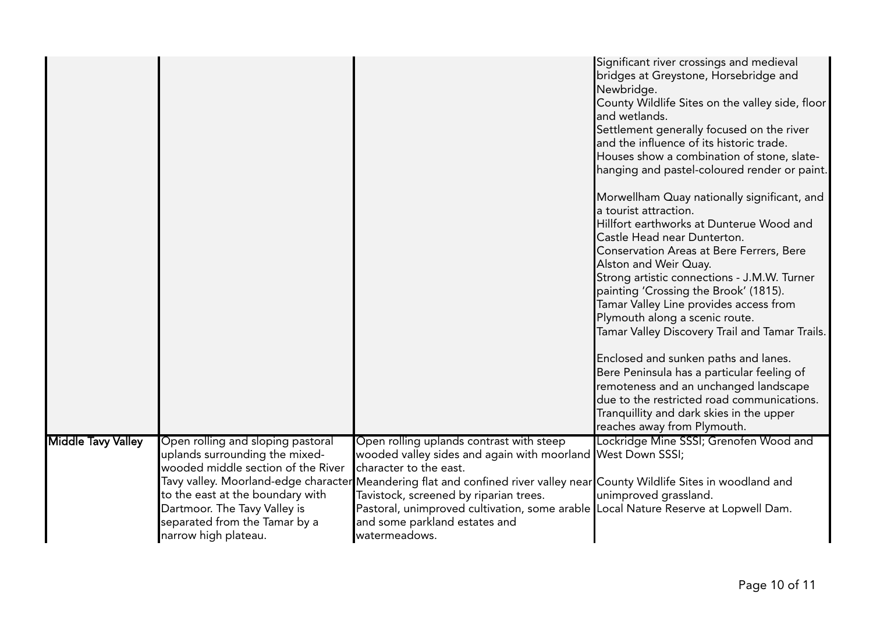|                           |                                                                            |                                                                                                                | Significant river crossings and medieval<br>bridges at Greystone, Horsebridge and<br>Newbridge.<br>County Wildlife Sites on the valley side, floor<br>and wetlands.<br>Settlement generally focused on the river<br>and the influence of its historic trade.<br>Houses show a combination of stone, slate-<br>hanging and pastel-coloured render or paint.<br>Morwellham Quay nationally significant, and<br>a tourist attraction.<br>Hillfort earthworks at Dunterue Wood and<br>Castle Head near Dunterton.<br>Conservation Areas at Bere Ferrers, Bere<br>Alston and Weir Quay.<br>Strong artistic connections - J.M.W. Turner<br>painting 'Crossing the Brook' (1815).<br>Tamar Valley Line provides access from<br>Plymouth along a scenic route.<br>Tamar Valley Discovery Trail and Tamar Trails.<br>Enclosed and sunken paths and lanes.<br>Bere Peninsula has a particular feeling of<br>remoteness and an unchanged landscape<br>due to the restricted road communications.<br>Tranquillity and dark skies in the upper<br>reaches away from Plymouth. |
|---------------------------|----------------------------------------------------------------------------|----------------------------------------------------------------------------------------------------------------|------------------------------------------------------------------------------------------------------------------------------------------------------------------------------------------------------------------------------------------------------------------------------------------------------------------------------------------------------------------------------------------------------------------------------------------------------------------------------------------------------------------------------------------------------------------------------------------------------------------------------------------------------------------------------------------------------------------------------------------------------------------------------------------------------------------------------------------------------------------------------------------------------------------------------------------------------------------------------------------------------------------------------------------------------------------|
| <b>Middle Tavy Valley</b> | Open rolling and sloping pastoral                                          | Open rolling uplands contrast with steep                                                                       | Lockridge Mine SSSI; Grenofen Wood and                                                                                                                                                                                                                                                                                                                                                                                                                                                                                                                                                                                                                                                                                                                                                                                                                                                                                                                                                                                                                           |
|                           | uplands surrounding the mixed-                                             | wooded valley sides and again with moorland West Down SSSI;                                                    |                                                                                                                                                                                                                                                                                                                                                                                                                                                                                                                                                                                                                                                                                                                                                                                                                                                                                                                                                                                                                                                                  |
|                           | wooded middle section of the River<br>Tavy valley. Moorland-edge character | character to the east.<br>Meandering flat and confined river valley near County Wildlife Sites in woodland and |                                                                                                                                                                                                                                                                                                                                                                                                                                                                                                                                                                                                                                                                                                                                                                                                                                                                                                                                                                                                                                                                  |
|                           | to the east at the boundary with                                           | Tavistock, screened by riparian trees.                                                                         | unimproved grassland.                                                                                                                                                                                                                                                                                                                                                                                                                                                                                                                                                                                                                                                                                                                                                                                                                                                                                                                                                                                                                                            |
|                           | Dartmoor. The Tavy Valley is                                               | Pastoral, unimproved cultivation, some arable Local Nature Reserve at Lopwell Dam.                             |                                                                                                                                                                                                                                                                                                                                                                                                                                                                                                                                                                                                                                                                                                                                                                                                                                                                                                                                                                                                                                                                  |
|                           | separated from the Tamar by a                                              | and some parkland estates and                                                                                  |                                                                                                                                                                                                                                                                                                                                                                                                                                                                                                                                                                                                                                                                                                                                                                                                                                                                                                                                                                                                                                                                  |
|                           | narrow high plateau.                                                       | watermeadows.                                                                                                  |                                                                                                                                                                                                                                                                                                                                                                                                                                                                                                                                                                                                                                                                                                                                                                                                                                                                                                                                                                                                                                                                  |